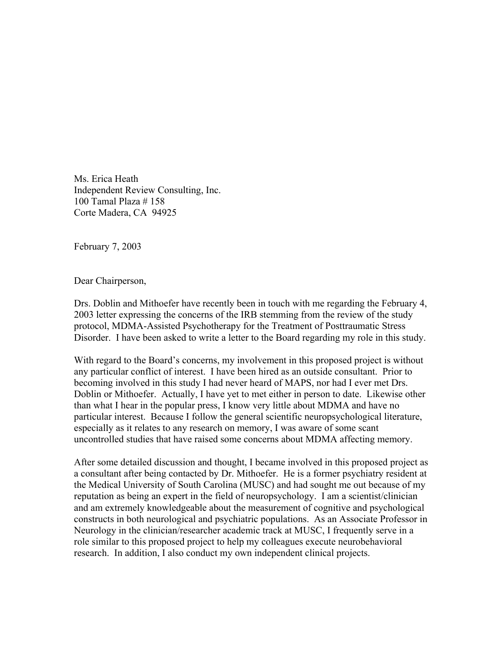Ms. Erica Heath Independent Review Consulting, Inc. 100 Tamal Plaza # 158 Corte Madera, CA 94925

February 7, 2003

Dear Chairperson,

Drs. Doblin and Mithoefer have recently been in touch with me regarding the February 4, 2003 letter expressing the concerns of the IRB stemming from the review of the study protocol, MDMA-Assisted Psychotherapy for the Treatment of Posttraumatic Stress Disorder. I have been asked to write a letter to the Board regarding my role in this study.

With regard to the Board's concerns, my involvement in this proposed project is without any particular conflict of interest. I have been hired as an outside consultant. Prior to becoming involved in this study I had never heard of MAPS, nor had I ever met Drs. Doblin or Mithoefer. Actually, I have yet to met either in person to date. Likewise other than what I hear in the popular press, I know very little about MDMA and have no particular interest. Because I follow the general scientific neuropsychological literature, especially as it relates to any research on memory, I was aware of some scant uncontrolled studies that have raised some concerns about MDMA affecting memory.

After some detailed discussion and thought, I became involved in this proposed project as a consultant after being contacted by Dr. Mithoefer. He is a former psychiatry resident at the Medical University of South Carolina (MUSC) and had sought me out because of my reputation as being an expert in the field of neuropsychology. I am a scientist/clinician and am extremely knowledgeable about the measurement of cognitive and psychological constructs in both neurological and psychiatric populations. As an Associate Professor in Neurology in the clinician/researcher academic track at MUSC, I frequently serve in a role similar to this proposed project to help my colleagues execute neurobehavioral research. In addition, I also conduct my own independent clinical projects.